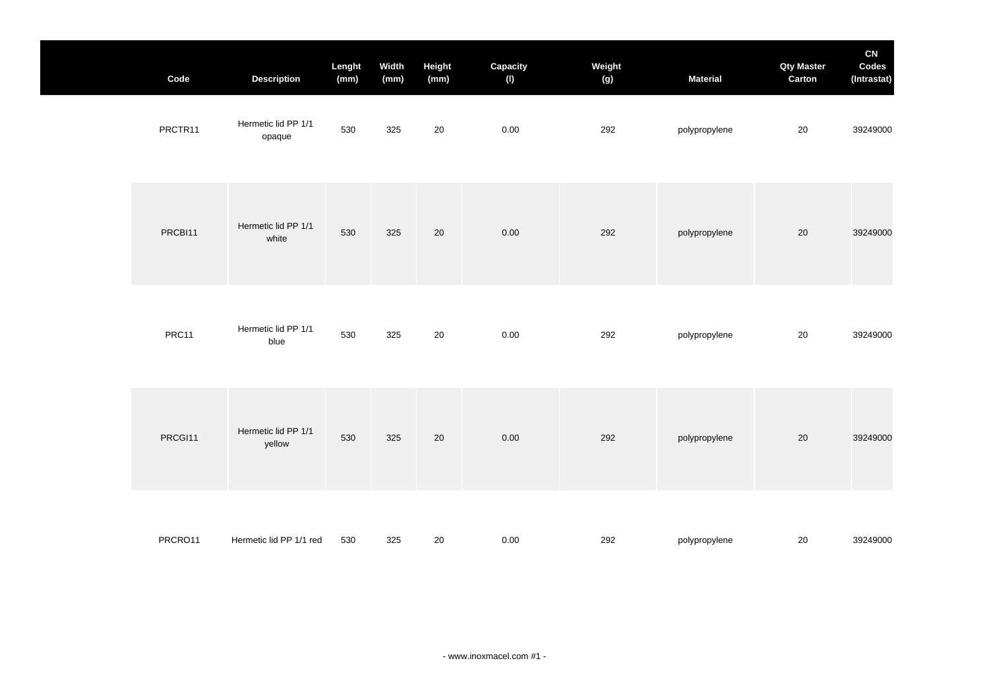| Code    | <b>Description</b>            | Lenght<br>(mm) | Width<br>(mm) | Height<br>(mm) | Capacity<br>(1) | Weight<br>(g) | <b>Material</b> | <b>Qty Master</b><br>Carton | CN<br>Codes<br>(Intrastat) |
|---------|-------------------------------|----------------|---------------|----------------|-----------------|---------------|-----------------|-----------------------------|----------------------------|
| PRCTR11 | Hermetic lid PP 1/1<br>opaque | 530            | 325           | 20             | $0.00\,$        | 292           | polypropylene   | 20                          | 39249000                   |
| PRCBI11 | Hermetic lid PP 1/1<br>white  | 530            | 325           | 20             | $0.00\,$        | 292           | polypropylene   | 20                          | 39249000                   |
| PRC11   | Hermetic lid PP 1/1<br>blue   | 530            | 325           | 20             | $0.00\,$        | 292           | polypropylene   | $20\,$                      | 39249000                   |
| PRCGI11 | Hermetic lid PP 1/1<br>yellow | 530            | 325           | 20             | $0.00\,$        | 292           | polypropylene   | 20                          | 39249000                   |
| PRCRO11 | Hermetic lid PP 1/1 red       | 530            | 325           | 20             | $0.00\,$        | 292           | polypropylene   | 20                          | 39249000                   |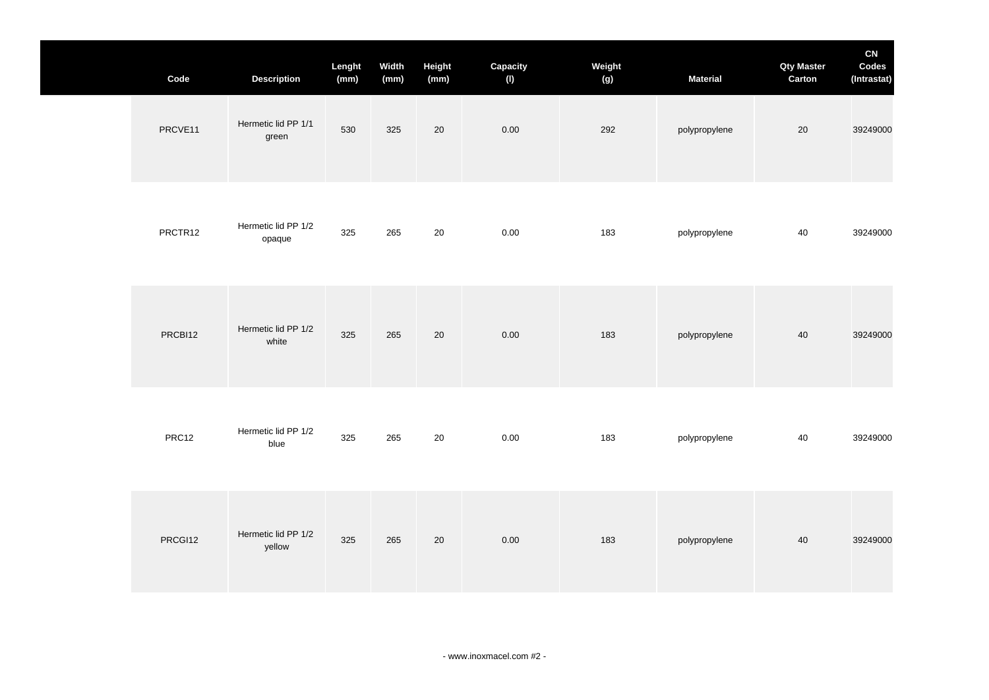| Code    | <b>Description</b>            | Lenght<br>(mm) | Width<br>(mm) | Height<br>(mm) | Capacity<br>(1) | Weight<br>(g) | <b>Material</b> | <b>Qty Master</b><br>Carton | CN<br>Codes<br>(Intrastat) |
|---------|-------------------------------|----------------|---------------|----------------|-----------------|---------------|-----------------|-----------------------------|----------------------------|
| PRCVE11 | Hermetic lid PP 1/1<br>green  | 530            | 325           | 20             | 0.00            | 292           | polypropylene   | $20\,$                      | 39249000                   |
| PRCTR12 | Hermetic lid PP 1/2<br>opaque | 325            | 265           | 20             | 0.00            | 183           | polypropylene   | 40                          | 39249000                   |
| PRCBI12 | Hermetic lid PP 1/2<br>white  | 325            | 265           | 20             | 0.00            | 183           | polypropylene   | 40                          | 39249000                   |
| PRC12   | Hermetic lid PP 1/2<br>blue   | 325            | 265           | 20             | 0.00            | 183           | polypropylene   | 40                          | 39249000                   |
| PRCGI12 | Hermetic lid PP 1/2<br>yellow | 325            | 265           | 20             | $0.00\,$        | 183           | polypropylene   | 40                          | 39249000                   |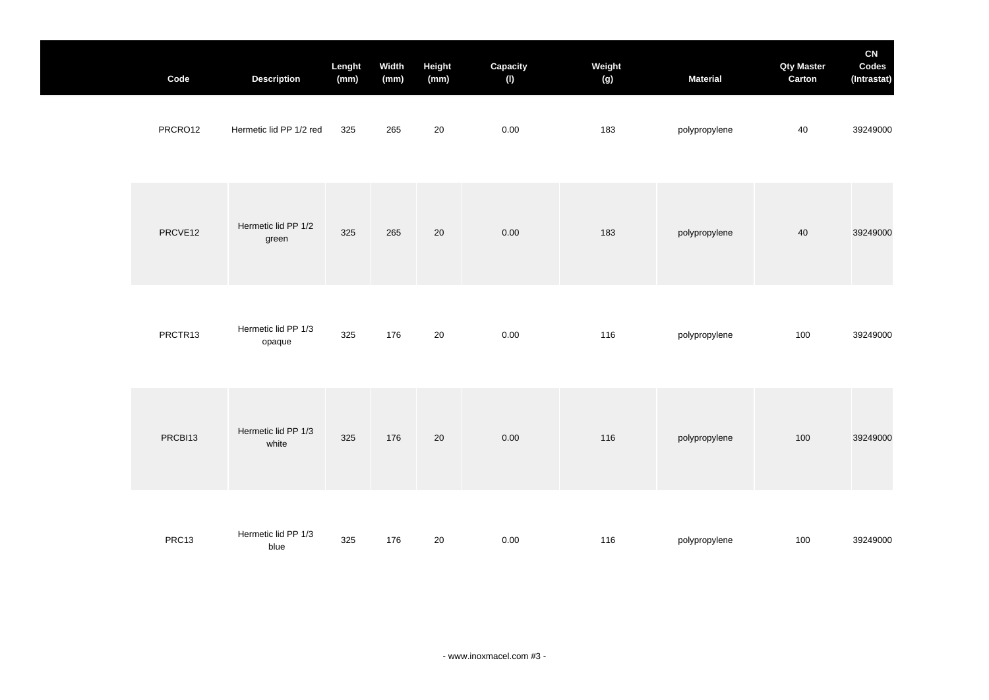| Code    | <b>Description</b>            | Lenght<br>(mm) | Width<br>(mm) | Height<br>(mm) | Capacity<br>(1) | Weight<br>(g) | <b>Material</b> | <b>Qty Master</b><br>Carton | CN<br>Codes<br>(Intrastat) |
|---------|-------------------------------|----------------|---------------|----------------|-----------------|---------------|-----------------|-----------------------------|----------------------------|
| PRCRO12 | Hermetic lid PP 1/2 red       | 325            | 265           | 20             | $0.00\,$        | 183           | polypropylene   | 40                          | 39249000                   |
| PRCVE12 | Hermetic lid PP 1/2<br>green  | 325            | 265           | 20             | 0.00            | 183           | polypropylene   | 40                          | 39249000                   |
| PRCTR13 | Hermetic lid PP 1/3<br>opaque | 325            | 176           | 20             | $0.00\,$        | 116           | polypropylene   | 100                         | 39249000                   |
| PRCBI13 | Hermetic lid PP 1/3<br>white  | 325            | 176           | 20             | 0.00            | 116           | polypropylene   | 100                         | 39249000                   |
| PRC13   | Hermetic lid PP 1/3<br>blue   | 325            | 176           | 20             | 0.00            | 116           | polypropylene   | 100                         | 39249000                   |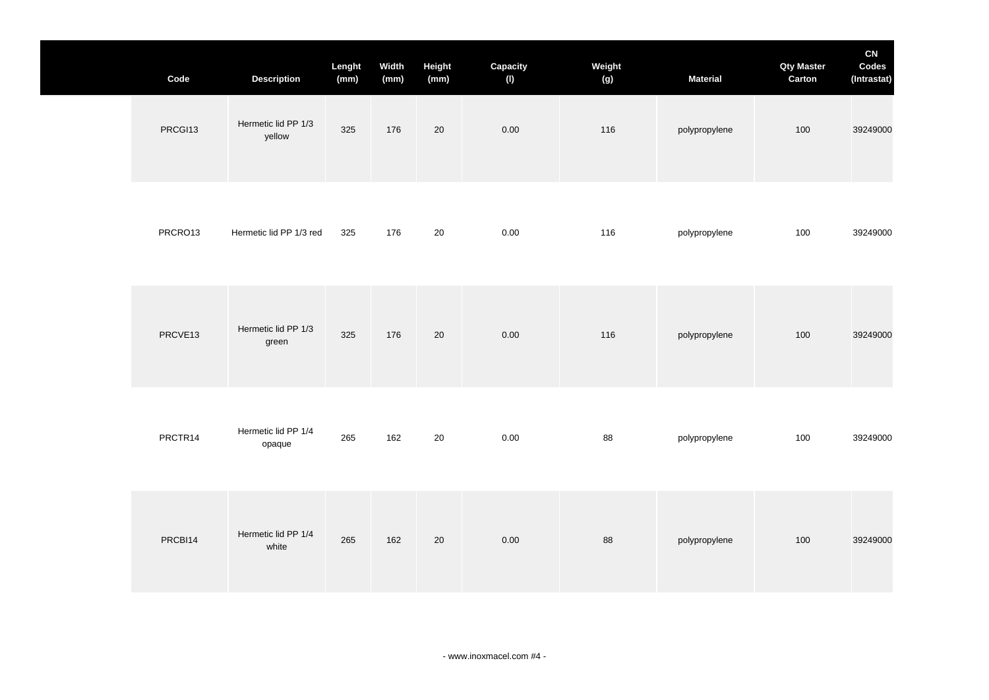| Code    | <b>Description</b>            | Lenght<br>(mm) | Width<br>(mm) | Height<br>(mm) | Capacity<br>(1) | Weight<br>(g) | <b>Material</b> | <b>Qty Master</b><br>Carton | CN<br>Codes<br>(Intrastat) |
|---------|-------------------------------|----------------|---------------|----------------|-----------------|---------------|-----------------|-----------------------------|----------------------------|
| PRCGI13 | Hermetic lid PP 1/3<br>yellow | 325            | 176           | 20             | 0.00            | 116           | polypropylene   | 100                         | 39249000                   |
| PRCRO13 | Hermetic lid PP 1/3 red       | 325            | 176           | $20\,$         | $0.00\,$        | 116           | polypropylene   | 100                         | 39249000                   |
| PRCVE13 | Hermetic lid PP 1/3<br>green  | 325            | 176           | 20             | 0.00            | 116           | polypropylene   | 100                         | 39249000                   |
| PRCTR14 | Hermetic lid PP 1/4<br>opaque | 265            | 162           | 20             | 0.00            | 88            | polypropylene   | 100                         | 39249000                   |
| PRCBI14 | Hermetic lid PP 1/4<br>white  | 265            | 162           | 20             | 0.00            | 88            | polypropylene   | 100                         | 39249000                   |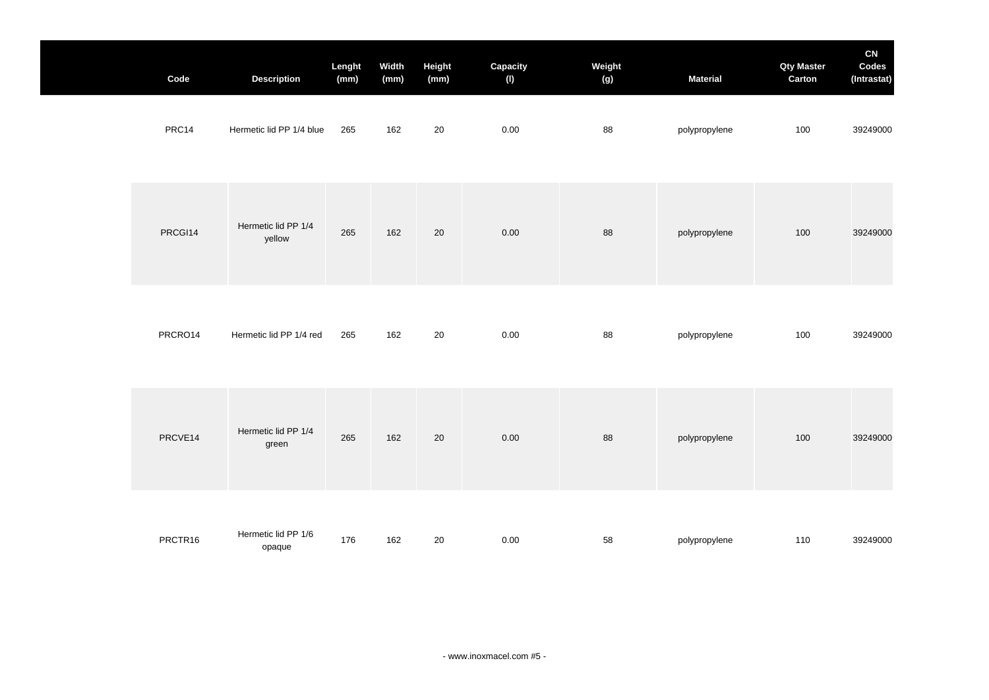| Code    | <b>Description</b>            | Lenght<br>(mm) | Width<br>(mm) | Height<br>(mm) | Capacity<br>(1) | Weight<br>(g) | <b>Material</b> | <b>Qty Master</b><br>Carton | CN<br>Codes<br>(Intrastat) |
|---------|-------------------------------|----------------|---------------|----------------|-----------------|---------------|-----------------|-----------------------------|----------------------------|
| PRC14   | Hermetic lid PP 1/4 blue      | 265            | 162           | 20             | 0.00            | 88            | polypropylene   | 100                         | 39249000                   |
| PRCGI14 | Hermetic lid PP 1/4<br>yellow | 265            | 162           | 20             | 0.00            | 88            | polypropylene   | 100                         | 39249000                   |
| PRCRO14 | Hermetic lid PP 1/4 red       | 265            | 162           | 20             | 0.00            | 88            | polypropylene   | 100                         | 39249000                   |
| PRCVE14 | Hermetic lid PP 1/4<br>green  | 265            | 162           | 20             | 0.00            | 88            | polypropylene   | 100                         | 39249000                   |
| PRCTR16 | Hermetic lid PP 1/6<br>opaque | 176            | 162           | 20             | 0.00            | 58            | polypropylene   | 110                         | 39249000                   |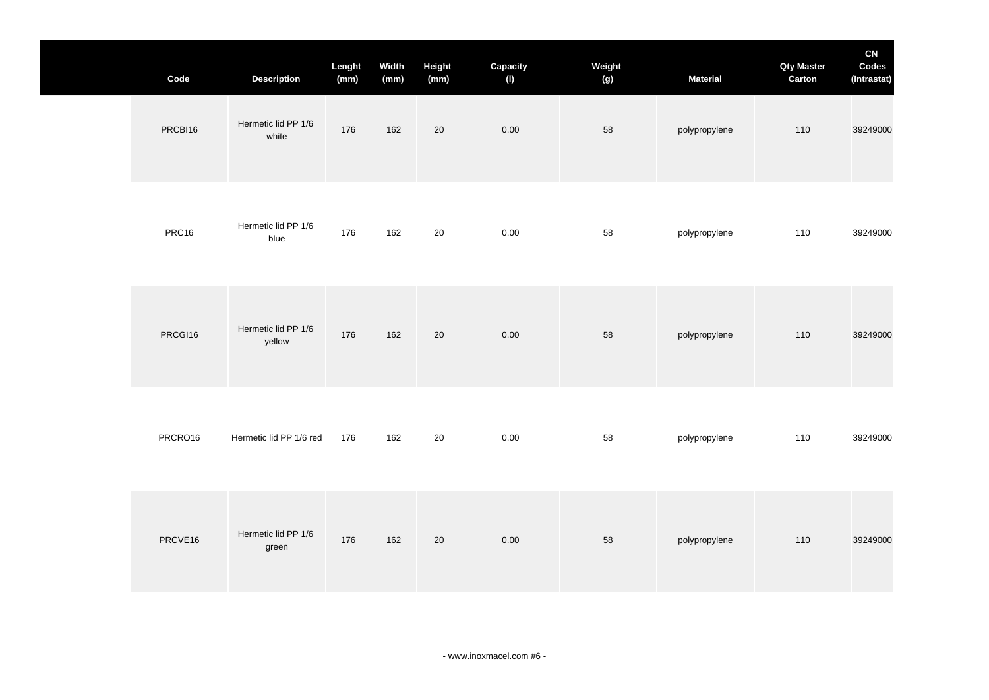| Code    | <b>Description</b>            | Lenght<br>(mm) | Width<br>(mm) | Height<br>(mm) | Capacity<br>(1) | Weight<br>(g) | <b>Material</b> | <b>Qty Master</b><br>Carton | CN<br>Codes<br>(Intrastat) |
|---------|-------------------------------|----------------|---------------|----------------|-----------------|---------------|-----------------|-----------------------------|----------------------------|
| PRCBI16 | Hermetic lid PP 1/6<br>white  | 176            | 162           | $20\,$         | 0.00            | 58            | polypropylene   | 110                         | 39249000                   |
| PRC16   | Hermetic lid PP 1/6<br>blue   | 176            | 162           | $20\,$         | 0.00            | 58            | polypropylene   | 110                         | 39249000                   |
| PRCGI16 | Hermetic lid PP 1/6<br>yellow | 176            | 162           | 20             | 0.00            | 58            | polypropylene   | 110                         | 39249000                   |
| PRCRO16 | Hermetic lid PP 1/6 red       | 176            | 162           | 20             | $0.00\,$        | 58            | polypropylene   | 110                         | 39249000                   |
| PRCVE16 | Hermetic lid PP 1/6<br>green  | 176            | 162           | $20\,$         | 0.00            | 58            | polypropylene   | 110                         | 39249000                   |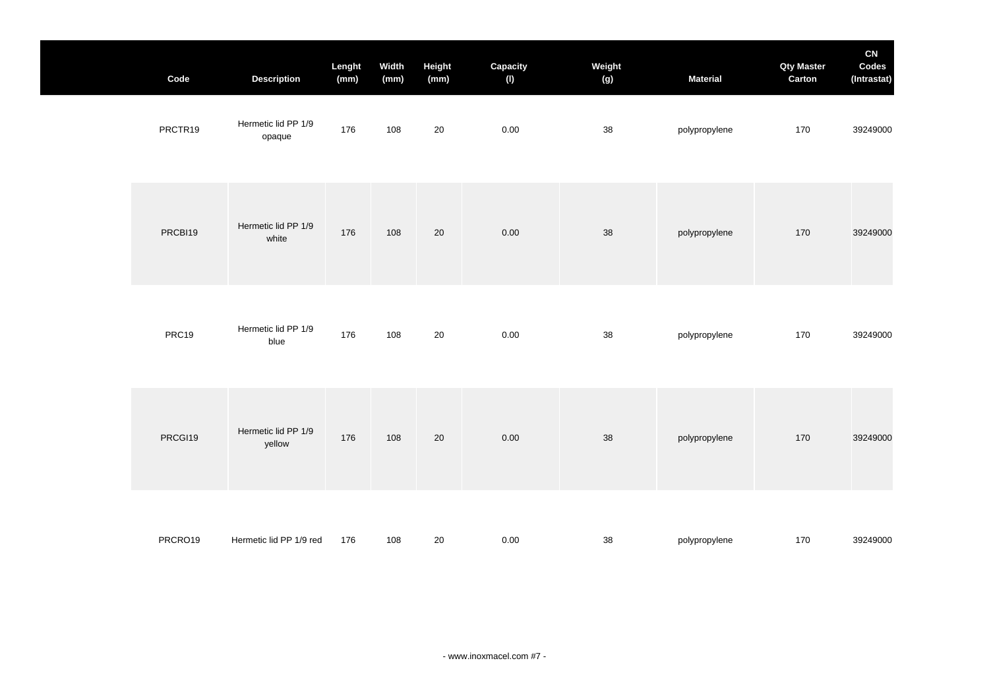| Code    | <b>Description</b>            | Lenght<br>(mm) | Width<br>(mm) | Height<br>(mm) | Capacity<br>(1) | Weight<br>(g) | <b>Material</b> | <b>Qty Master</b><br>Carton | CN<br>Codes<br>(Intrastat) |
|---------|-------------------------------|----------------|---------------|----------------|-----------------|---------------|-----------------|-----------------------------|----------------------------|
| PRCTR19 | Hermetic lid PP 1/9<br>opaque | 176            | 108           | 20             | $0.00\,$        | 38            | polypropylene   | 170                         | 39249000                   |
| PRCBI19 | Hermetic lid PP 1/9<br>white  | 176            | 108           | 20             | 0.00            | 38            | polypropylene   | 170                         | 39249000                   |
| PRC19   | Hermetic lid PP 1/9<br>blue   | 176            | 108           | 20             | 0.00            | 38            | polypropylene   | 170                         | 39249000                   |
| PRCGI19 | Hermetic lid PP 1/9<br>yellow | 176            | 108           | 20             | 0.00            | 38            | polypropylene   | 170                         | 39249000                   |
| PRCRO19 | Hermetic lid PP 1/9 red       | 176            | 108           | 20             | $0.00\,$        | 38            | polypropylene   | 170                         | 39249000                   |